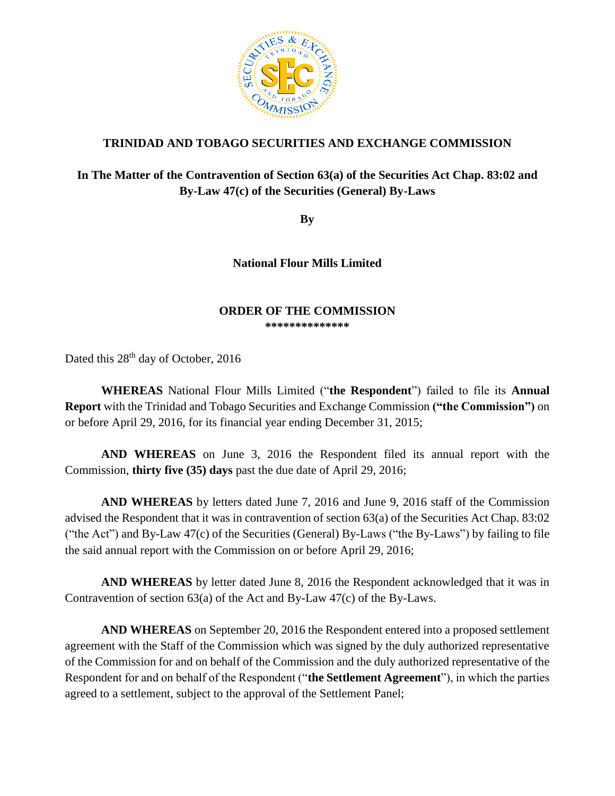

## **TRINIDAD AND TOBAGO SECURITIES AND EXCHANGE COMMISSION**

## **In The Matter of the Contravention of Section 63(a) of the Securities Act Chap. 83:02 and By-Law 47(c) of the Securities (General) By-Laws**

**By**

**National Flour Mills Limited** 

## **ORDER OF THE COMMISSION**

**\*\*\*\*\*\*\*\*\*\*\*\*\*\***

Dated this 28<sup>th</sup> day of October, 2016

**WHEREAS** National Flour Mills Limited ("**the Respondent**") failed to file its **Annual Report** with the Trinidad and Tobago Securities and Exchange Commission **("the Commission")** on or before April 29, 2016, for its financial year ending December 31, 2015;

**AND WHEREAS** on June 3, 2016 the Respondent filed its annual report with the Commission, **thirty five (35) days** past the due date of April 29, 2016;

**AND WHEREAS** by letters dated June 7, 2016 and June 9, 2016 staff of the Commission advised the Respondent that it was in contravention of section 63(a) of the Securities Act Chap. 83:02 ("the Act") and By-Law 47(c) of the Securities (General) By-Laws ("the By-Laws") by failing to file the said annual report with the Commission on or before April 29, 2016;

**AND WHEREAS** by letter dated June 8, 2016 the Respondent acknowledged that it was in Contravention of section 63(a) of the Act and By-Law 47(c) of the By-Laws.

**AND WHEREAS** on September 20, 2016 the Respondent entered into a proposed settlement agreement with the Staff of the Commission which was signed by the duly authorized representative of the Commission for and on behalf of the Commission and the duly authorized representative of the Respondent for and on behalf of the Respondent ("**the Settlement Agreement**"), in which the parties agreed to a settlement, subject to the approval of the Settlement Panel;